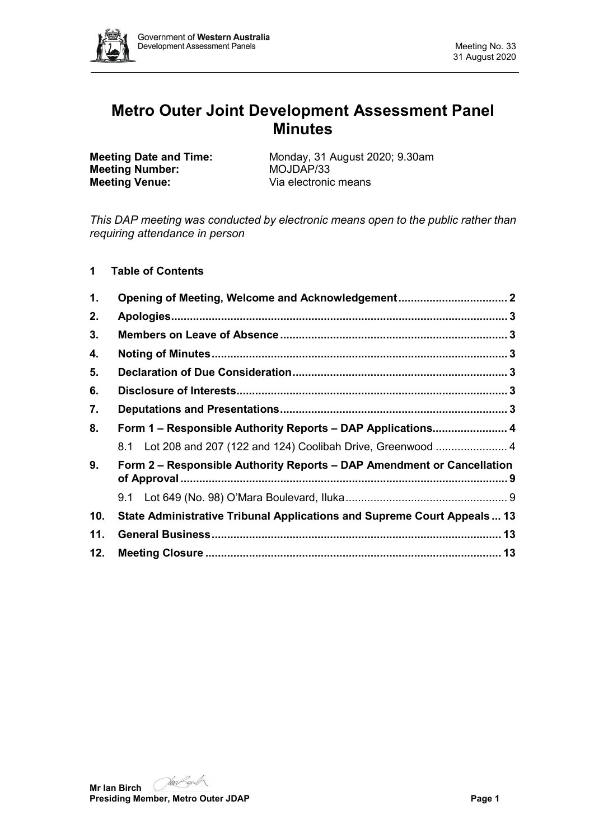

# **Metro Outer Joint Development Assessment Panel Minutes**

**Meeting Number:**<br>**Meeting Venue:** 

**Meeting Date and Time:** Monday, 31 August 2020; 9.30am<br> **Meeting Number:** MOJDAP/33 Via electronic means

*This DAP meeting was conducted by electronic means open to the public rather than requiring attendance in person*

# **1 Table of Contents**

| 1.  |                                                                         |  |
|-----|-------------------------------------------------------------------------|--|
| 2.  |                                                                         |  |
| 3.  |                                                                         |  |
| 4.  |                                                                         |  |
| 5.  |                                                                         |  |
| 6.  |                                                                         |  |
| 7.  |                                                                         |  |
| 8.  | Form 1 - Responsible Authority Reports - DAP Applications 4             |  |
|     | 8.1 Lot 208 and 207 (122 and 124) Coolibah Drive, Greenwood  4          |  |
| 9.  | Form 2 - Responsible Authority Reports - DAP Amendment or Cancellation  |  |
|     |                                                                         |  |
| 10. | State Administrative Tribunal Applications and Supreme Court Appeals 13 |  |
| 11. |                                                                         |  |
| 12. |                                                                         |  |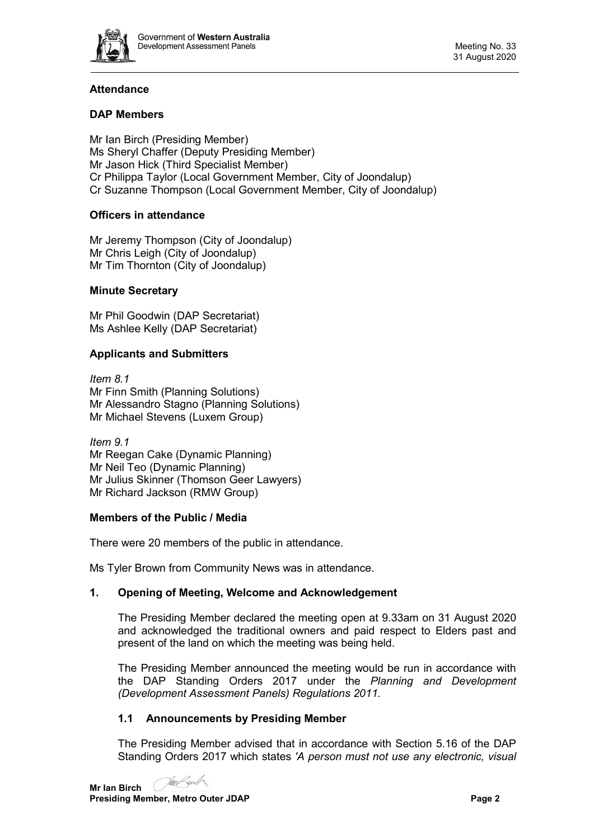

# **Attendance**

## **DAP Members**

Mr Ian Birch (Presiding Member) Ms Sheryl Chaffer (Deputy Presiding Member) Mr Jason Hick (Third Specialist Member) Cr Philippa Taylor (Local Government Member, City of Joondalup) Cr Suzanne Thompson (Local Government Member, City of Joondalup)

## **Officers in attendance**

Mr Jeremy Thompson (City of Joondalup) Mr Chris Leigh (City of Joondalup) Mr Tim Thornton (City of Joondalup)

## **Minute Secretary**

Mr Phil Goodwin (DAP Secretariat) Ms Ashlee Kelly (DAP Secretariat)

## **Applicants and Submitters**

*Item 8.1* Mr Finn Smith (Planning Solutions) Mr Alessandro Stagno (Planning Solutions) Mr Michael Stevens (Luxem Group)

*Item 9.1* Mr Reegan Cake (Dynamic Planning) Mr Neil Teo (Dynamic Planning) Mr Julius Skinner (Thomson Geer Lawyers) Mr Richard Jackson (RMW Group)

#### **Members of the Public / Media**

There were 20 members of the public in attendance.

<span id="page-1-0"></span>Ms Tyler Brown from Community News was in attendance.

## **1. Opening of Meeting, Welcome and Acknowledgement**

The Presiding Member declared the meeting open at 9.33am on 31 August 2020 and acknowledged the traditional owners and paid respect to Elders past and present of the land on which the meeting was being held.

The Presiding Member announced the meeting would be run in accordance with the DAP Standing Orders 2017 under the *Planning and Development (Development Assessment Panels) Regulations 2011.*

## **1.1 Announcements by Presiding Member**

The Presiding Member advised that in accordance with Section 5.16 of the DAP Standing Orders 2017 which states *'A person must not use any electronic, visual* 

MAN gid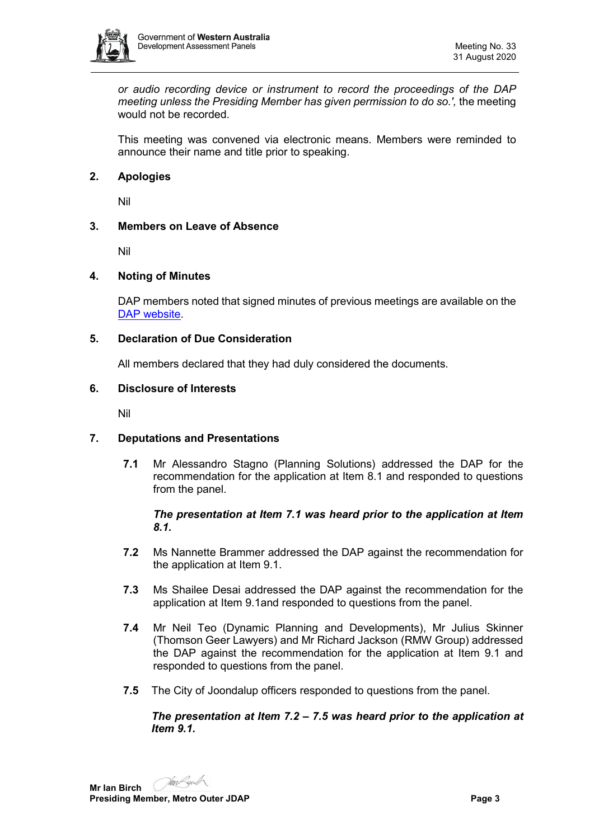

*or audio recording device or instrument to record the proceedings of the DAP meeting unless the Presiding Member has given permission to do so.',* the meeting would not be recorded.

This meeting was convened via electronic means. Members were reminded to announce their name and title prior to speaking.

## <span id="page-2-0"></span>**2. Apologies**

Nil

## <span id="page-2-1"></span>**3. Members on Leave of Absence**

Nil

## <span id="page-2-2"></span>**4. Noting of Minutes**

DAP members noted that signed minutes of previous meetings are available on the [DAP website.](https://www.dplh.wa.gov.au/about/development-assessment-panels/daps-agendas-and-minutes)

## <span id="page-2-3"></span>**5. Declaration of Due Consideration**

All members declared that they had duly considered the documents.

## <span id="page-2-4"></span>**6. Disclosure of Interests**

Nil

## <span id="page-2-5"></span>**7. Deputations and Presentations**

**7.1** Mr Alessandro Stagno (Planning Solutions) addressed the DAP for the recommendation for the application at Item 8.1 and responded to questions from the panel.

## *The presentation at Item 7.1 was heard prior to the application at Item 8.1.*

- **7.2** Ms Nannette Brammer addressed the DAP against the recommendation for the application at Item 9.1.
- **7.3** Ms Shailee Desai addressed the DAP against the recommendation for the application at Item 9.1and responded to questions from the panel.
- **7.4** Mr Neil Teo (Dynamic Planning and Developments), Mr Julius Skinner (Thomson Geer Lawyers) and Mr Richard Jackson (RMW Group) addressed the DAP against the recommendation for the application at Item 9.1 and responded to questions from the panel.
- **7.5** The City of Joondalup officers responded to questions from the panel.

## *The presentation at Item 7.2 – 7.5 was heard prior to the application at Item 9.1.*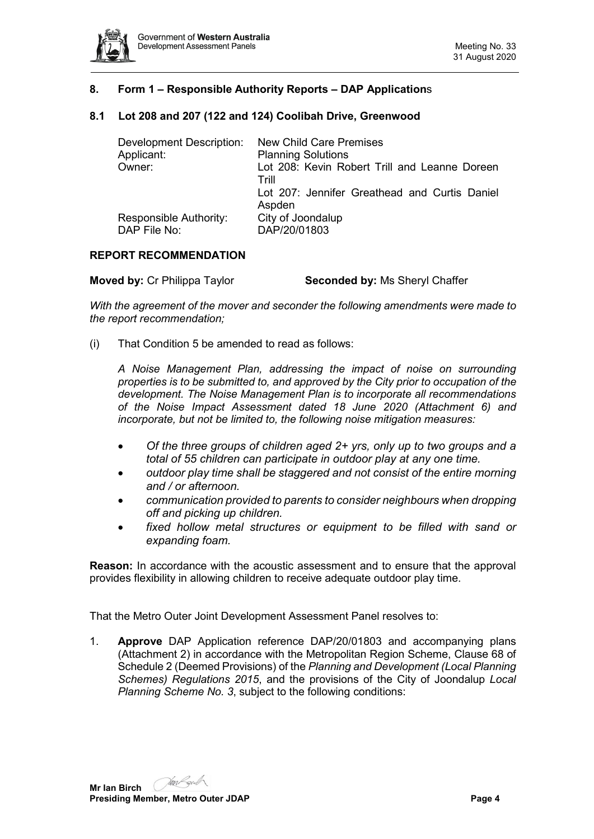

## <span id="page-3-0"></span>**8. Form 1 – Responsible Authority Reports – DAP Application**s

## <span id="page-3-1"></span>**8.1 Lot 208 and 207 (122 and 124) Coolibah Drive, Greenwood**

| Development Description:                      | <b>New Child Care Premises</b>                          |  |
|-----------------------------------------------|---------------------------------------------------------|--|
| Applicant:                                    | <b>Planning Solutions</b>                               |  |
| Owner:                                        | Lot 208: Kevin Robert Trill and Leanne Doreen<br>Trill  |  |
|                                               | Lot 207: Jennifer Greathead and Curtis Daniel<br>Aspden |  |
| <b>Responsible Authority:</b><br>DAP File No: | City of Joondalup<br>DAP/20/01803                       |  |

#### **REPORT RECOMMENDATION**

**Moved by:** Cr Philippa Taylor **Seconded by:** Ms Sheryl Chaffer

*With the agreement of the mover and seconder the following amendments were made to the report recommendation;*

(i) That Condition 5 be amended to read as follows:

*A Noise Management Plan, addressing the impact of noise on surrounding properties is to be submitted to, and approved by the City prior to occupation of the development. The Noise Management Plan is to incorporate all recommendations of the Noise Impact Assessment dated 18 June 2020 (Attachment 6) and incorporate, but not be limited to, the following noise mitigation measures:*

- *Of the three groups of children aged 2+ yrs, only up to two groups and a total of 55 children can participate in outdoor play at any one time.*
- *outdoor play time shall be staggered and not consist of the entire morning and / or afternoon.*
- *communication provided to parents to consider neighbours when dropping off and picking up children.*
- *fixed hollow metal structures or equipment to be filled with sand or expanding foam.*

**Reason:** In accordance with the acoustic assessment and to ensure that the approval provides flexibility in allowing children to receive adequate outdoor play time.

That the Metro Outer Joint Development Assessment Panel resolves to:

1. **Approve** DAP Application reference DAP/20/01803 and accompanying plans (Attachment 2) in accordance with the Metropolitan Region Scheme, Clause 68 of Schedule 2 (Deemed Provisions) of the *Planning and Development (Local Planning Schemes) Regulations 2015*, and the provisions of the City of Joondalup *Local Planning Scheme No. 3*, subject to the following conditions:

**Mr Ian Birch Presiding Member, Metro Outer JDAP Page 4 Page 4 Page 4**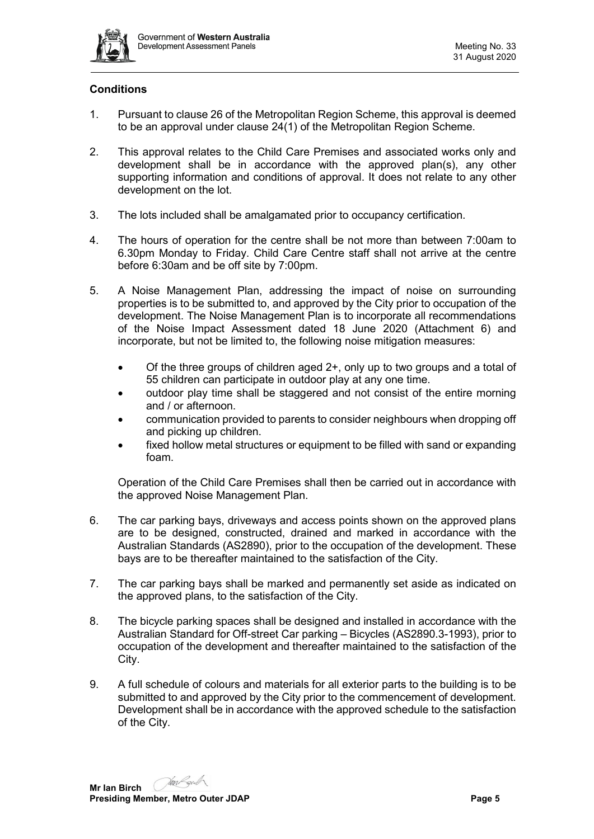

## **Conditions**

- 1. Pursuant to clause 26 of the Metropolitan Region Scheme, this approval is deemed to be an approval under clause 24(1) of the Metropolitan Region Scheme.
- 2. This approval relates to the Child Care Premises and associated works only and development shall be in accordance with the approved plan(s), any other supporting information and conditions of approval. It does not relate to any other development on the lot.
- 3. The lots included shall be amalgamated prior to occupancy certification.
- 4. The hours of operation for the centre shall be not more than between 7:00am to 6.30pm Monday to Friday. Child Care Centre staff shall not arrive at the centre before 6:30am and be off site by 7:00pm.
- 5. A Noise Management Plan, addressing the impact of noise on surrounding properties is to be submitted to, and approved by the City prior to occupation of the development. The Noise Management Plan is to incorporate all recommendations of the Noise Impact Assessment dated 18 June 2020 (Attachment 6) and incorporate, but not be limited to, the following noise mitigation measures:
	- Of the three groups of children aged 2+, only up to two groups and a total of 55 children can participate in outdoor play at any one time.
	- outdoor play time shall be staggered and not consist of the entire morning and / or afternoon.
	- communication provided to parents to consider neighbours when dropping off and picking up children.
	- fixed hollow metal structures or equipment to be filled with sand or expanding foam.

Operation of the Child Care Premises shall then be carried out in accordance with the approved Noise Management Plan.

- 6. The car parking bays, driveways and access points shown on the approved plans are to be designed, constructed, drained and marked in accordance with the Australian Standards (AS2890), prior to the occupation of the development. These bays are to be thereafter maintained to the satisfaction of the City.
- 7. The car parking bays shall be marked and permanently set aside as indicated on the approved plans, to the satisfaction of the City.
- 8. The bicycle parking spaces shall be designed and installed in accordance with the Australian Standard for Off-street Car parking – Bicycles (AS2890.3-1993), prior to occupation of the development and thereafter maintained to the satisfaction of the City.
- 9. A full schedule of colours and materials for all exterior parts to the building is to be submitted to and approved by the City prior to the commencement of development. Development shall be in accordance with the approved schedule to the satisfaction of the City.

**Mr Ian Birch Presiding Member, Metro Outer JDAP Page 5 Page 5**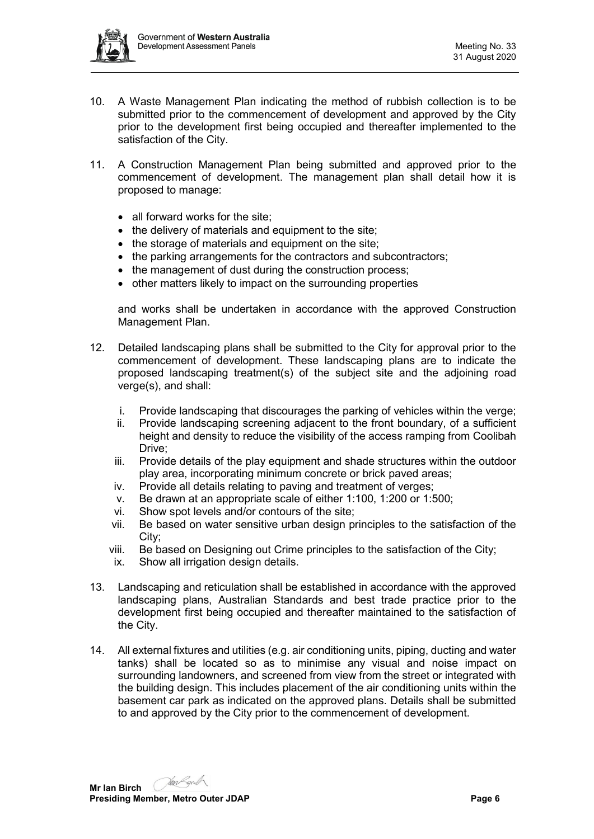

- 10. A Waste Management Plan indicating the method of rubbish collection is to be submitted prior to the commencement of development and approved by the City prior to the development first being occupied and thereafter implemented to the satisfaction of the City.
- 11. A Construction Management Plan being submitted and approved prior to the commencement of development. The management plan shall detail how it is proposed to manage:
	- all forward works for the site:
	- the delivery of materials and equipment to the site;
	- the storage of materials and equipment on the site;
	- the parking arrangements for the contractors and subcontractors;
	- the management of dust during the construction process;
	- other matters likely to impact on the surrounding properties

and works shall be undertaken in accordance with the approved Construction Management Plan.

- 12. Detailed landscaping plans shall be submitted to the City for approval prior to the commencement of development. These landscaping plans are to indicate the proposed landscaping treatment(s) of the subject site and the adjoining road verge(s), and shall:
	- i. Provide landscaping that discourages the parking of vehicles within the verge;
	- ii. Provide landscaping screening adjacent to the front boundary, of a sufficient height and density to reduce the visibility of the access ramping from Coolibah Drive;
	- iii. Provide details of the play equipment and shade structures within the outdoor play area, incorporating minimum concrete or brick paved areas;
	- iv. Provide all details relating to paving and treatment of verges;
	- v. Be drawn at an appropriate scale of either 1:100, 1:200 or 1:500;
	- vi. Show spot levels and/or contours of the site;
	- vii. Be based on water sensitive urban design principles to the satisfaction of the City;
	- viii. Be based on Designing out Crime principles to the satisfaction of the City;
	- ix. Show all irrigation design details.
- 13. Landscaping and reticulation shall be established in accordance with the approved landscaping plans, Australian Standards and best trade practice prior to the development first being occupied and thereafter maintained to the satisfaction of the City.
- 14. All external fixtures and utilities (e.g. air conditioning units, piping, ducting and water tanks) shall be located so as to minimise any visual and noise impact on surrounding landowners, and screened from view from the street or integrated with the building design. This includes placement of the air conditioning units within the basement car park as indicated on the approved plans. Details shall be submitted to and approved by the City prior to the commencement of development.

**Mr Ian Birch Presiding Member, Metro Outer JDAP Page 6 Page 6 Page 6 Page 6**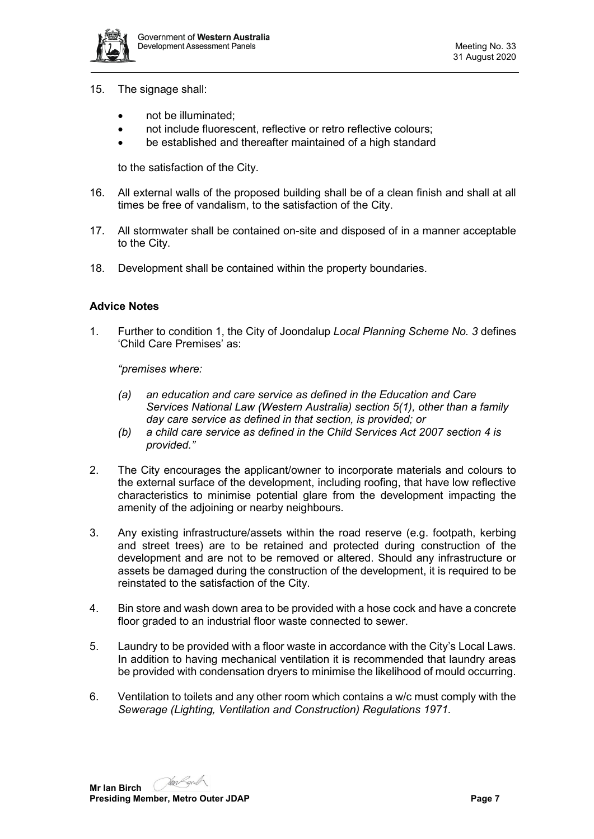

- 15. The signage shall:
	- not be illuminated:
	- not include fluorescent, reflective or retro reflective colours;
	- be established and thereafter maintained of a high standard

to the satisfaction of the City.

- 16. All external walls of the proposed building shall be of a clean finish and shall at all times be free of vandalism, to the satisfaction of the City.
- 17. All stormwater shall be contained on-site and disposed of in a manner acceptable to the City.
- 18. Development shall be contained within the property boundaries.

## **Advice Notes**

1. Further to condition 1, the City of Joondalup *Local Planning Scheme No. 3* defines 'Child Care Premises' as:

*"premises where:*

- *(a) an education and care service as defined in the Education and Care Services National Law (Western Australia) section 5(1), other than a family day care service as defined in that section, is provided; or*
- *(b) a child care service as defined in the Child Services Act 2007 section 4 is provided."*
- 2. The City encourages the applicant/owner to incorporate materials and colours to the external surface of the development, including roofing, that have low reflective characteristics to minimise potential glare from the development impacting the amenity of the adjoining or nearby neighbours.
- 3. Any existing infrastructure/assets within the road reserve (e.g. footpath, kerbing and street trees) are to be retained and protected during construction of the development and are not to be removed or altered. Should any infrastructure or assets be damaged during the construction of the development, it is required to be reinstated to the satisfaction of the City.
- 4. Bin store and wash down area to be provided with a hose cock and have a concrete floor graded to an industrial floor waste connected to sewer.
- 5. Laundry to be provided with a floor waste in accordance with the City's Local Laws. In addition to having mechanical ventilation it is recommended that laundry areas be provided with condensation dryers to minimise the likelihood of mould occurring.
- 6. Ventilation to toilets and any other room which contains a w/c must comply with the *Sewerage (Lighting, Ventilation and Construction) Regulations 1971.*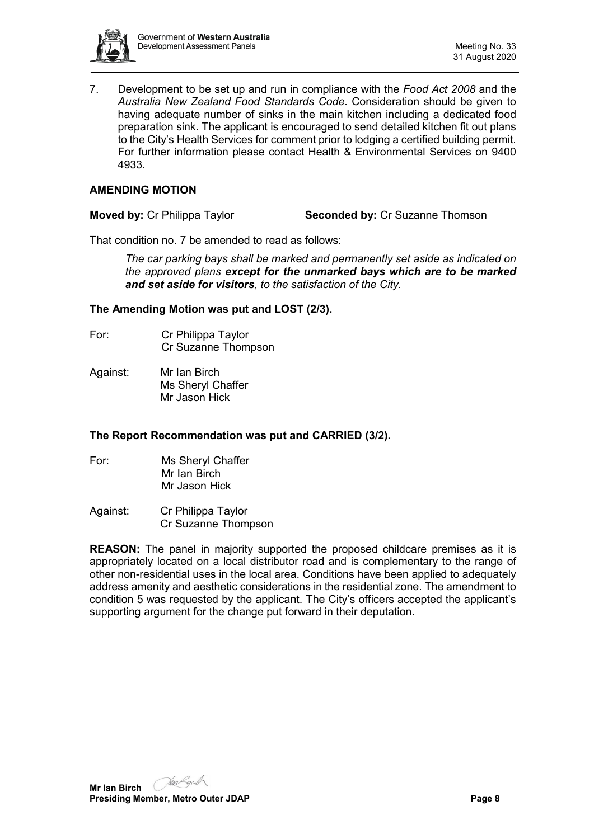

7. Development to be set up and run in compliance with the *Food Act 2008* and the *Australia New Zealand Food Standards Code*. Consideration should be given to having adequate number of sinks in the main kitchen including a dedicated food preparation sink. The applicant is encouraged to send detailed kitchen fit out plans to the City's Health Services for comment prior to lodging a certified building permit. For further information please contact Health & Environmental Services on 9400 4933.

## **AMENDING MOTION**

**Moved by:** Cr Philippa Taylor **Seconded by:** Cr Suzanne Thomson

That condition no. 7 be amended to read as follows:

*The car parking bays shall be marked and permanently set aside as indicated on the approved plans except for the unmarked bays which are to be marked and set aside for visitors, to the satisfaction of the City.*

## **The Amending Motion was put and LOST (2/3).**

- For: Cr Philippa Taylor Cr Suzanne Thompson
- Against: Mr Ian Birch Ms Sheryl Chaffer Mr Jason Hick

#### **The Report Recommendation was put and CARRIED (3/2).**

- For: Ms Sheryl Chaffer Mr Ian Birch Mr Jason Hick
- Against: Cr Philippa Taylor Cr Suzanne Thompson

**REASON:** The panel in majority supported the proposed childcare premises as it is appropriately located on a local distributor road and is complementary to the range of other non-residential uses in the local area. Conditions have been applied to adequately address amenity and aesthetic considerations in the residential zone. The amendment to condition 5 was requested by the applicant. The City's officers accepted the applicant's supporting argument for the change put forward in their deputation.

Jan Lord **Mr Ian Birch Presiding Member, Metro Outer JDAP Page 8 Page 8**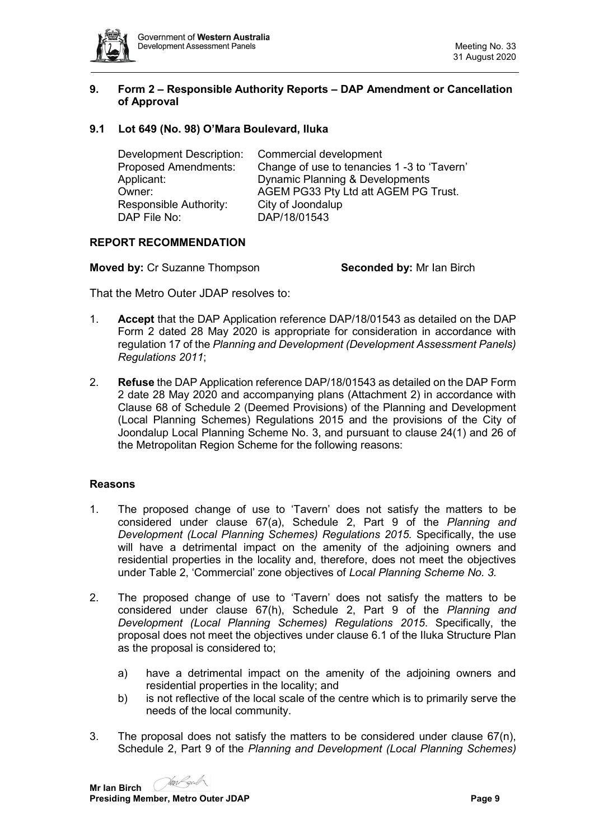

## <span id="page-8-0"></span>**9. Form 2 – Responsible Authority Reports – DAP Amendment or Cancellation of Approval**

## <span id="page-8-1"></span>**9.1 Lot 649 (No. 98) O'Mara Boulevard, Iluka**

| Commercial development                      |
|---------------------------------------------|
| Change of use to tenancies 1 -3 to 'Tavern' |
| Dynamic Planning & Developments             |
| AGEM PG33 Pty Ltd att AGEM PG Trust.        |
| City of Joondalup                           |
| DAP/18/01543                                |
|                                             |

## **REPORT RECOMMENDATION**

**Moved by:** Cr Suzanne Thompson **Seconded by:** Mr Ian Birch

That the Metro Outer JDAP resolves to:

- 1. **Accept** that the DAP Application reference DAP/18/01543 as detailed on the DAP Form 2 dated 28 May 2020 is appropriate for consideration in accordance with regulation 17 of the *Planning and Development (Development Assessment Panels) Regulations 2011*;
- 2. **Refuse** the DAP Application reference DAP/18/01543 as detailed on the DAP Form 2 date 28 May 2020 and accompanying plans (Attachment 2) in accordance with Clause 68 of Schedule 2 (Deemed Provisions) of the Planning and Development (Local Planning Schemes) Regulations 2015 and the provisions of the City of Joondalup Local Planning Scheme No. 3, and pursuant to clause 24(1) and 26 of the Metropolitan Region Scheme for the following reasons:

## **Reasons**

- 1. The proposed change of use to 'Tavern' does not satisfy the matters to be considered under clause 67(a), Schedule 2, Part 9 of the *Planning and Development (Local Planning Schemes) Regulations 2015.* Specifically, the use will have a detrimental impact on the amenity of the adjoining owners and residential properties in the locality and, therefore, does not meet the objectives under Table 2, 'Commercial' zone objectives of *Local Planning Scheme No. 3.*
- 2. The proposed change of use to 'Tavern' does not satisfy the matters to be considered under clause 67(h), Schedule 2, Part 9 of the *Planning and Development (Local Planning Schemes) Regulations 2015*. Specifically, the proposal does not meet the objectives under clause 6.1 of the Iluka Structure Plan as the proposal is considered to;
	- a) have a detrimental impact on the amenity of the adjoining owners and residential properties in the locality; and
	- b) is not reflective of the local scale of the centre which is to primarily serve the needs of the local community.
- 3. The proposal does not satisfy the matters to be considered under clause 67(n), Schedule 2, Part 9 of the *Planning and Development (Local Planning Schemes)*

Jan Legid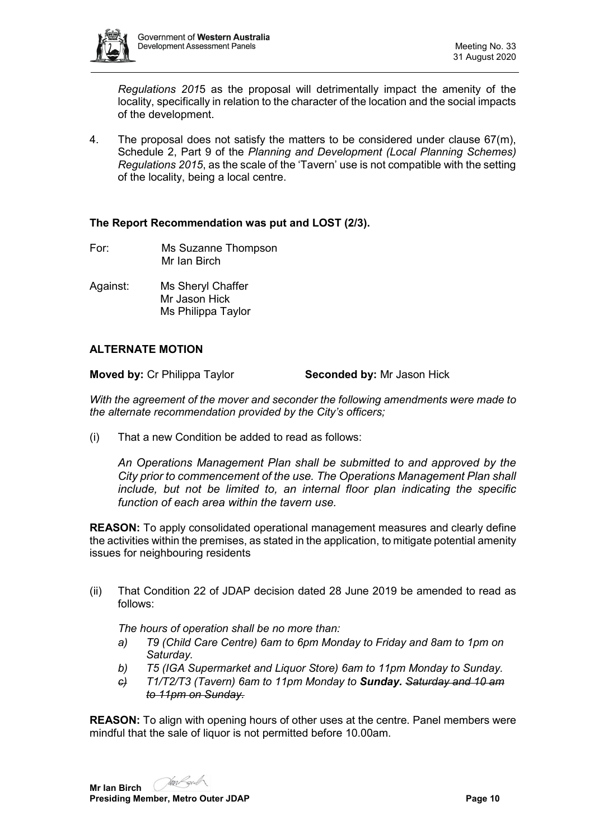

*Regulations 201*5 as the proposal will detrimentally impact the amenity of the locality, specifically in relation to the character of the location and the social impacts of the development.

4. The proposal does not satisfy the matters to be considered under clause 67(m), Schedule 2, Part 9 of the *Planning and Development (Local Planning Schemes) Regulations 2015*, as the scale of the 'Tavern' use is not compatible with the setting of the locality, being a local centre.

## **The Report Recommendation was put and LOST (2/3).**

- For: Ms Suzanne Thompson Mr Ian Birch
- Against: Ms Sheryl Chaffer Mr Jason Hick Ms Philippa Taylor

# **ALTERNATE MOTION**

**Moved by: Cr Philippa Taylor <b>Seconded by:** Mr Jason Hick

*With the agreement of the mover and seconder the following amendments were made to the alternate recommendation provided by the City's officers;*

(i) That a new Condition be added to read as follows:

*An Operations Management Plan shall be submitted to and approved by the City prior to commencement of the use. The Operations Management Plan shall include, but not be limited to, an internal floor plan indicating the specific function of each area within the tavern use.*

**REASON:** To apply consolidated operational management measures and clearly define the activities within the premises, as stated in the application, to mitigate potential amenity issues for neighbouring residents

(ii) That Condition 22 of JDAP decision dated 28 June 2019 be amended to read as follows:

*The hours of operation shall be no more than:*

- *a) T9 (Child Care Centre) 6am to 6pm Monday to Friday and 8am to 1pm on Saturday.*
- *b) T5 (IGA Supermarket and Liquor Store) 6am to 11pm Monday to Sunday.*
- *c) T1/T2/T3 (Tavern) 6am to 11pm Monday to Sunday. Saturday and 10 am to 11pm on Sunday.*

**REASON:** To align with opening hours of other uses at the centre. Panel members were mindful that the sale of liquor is not permitted before 10.00am.

**Mr Ian Birch**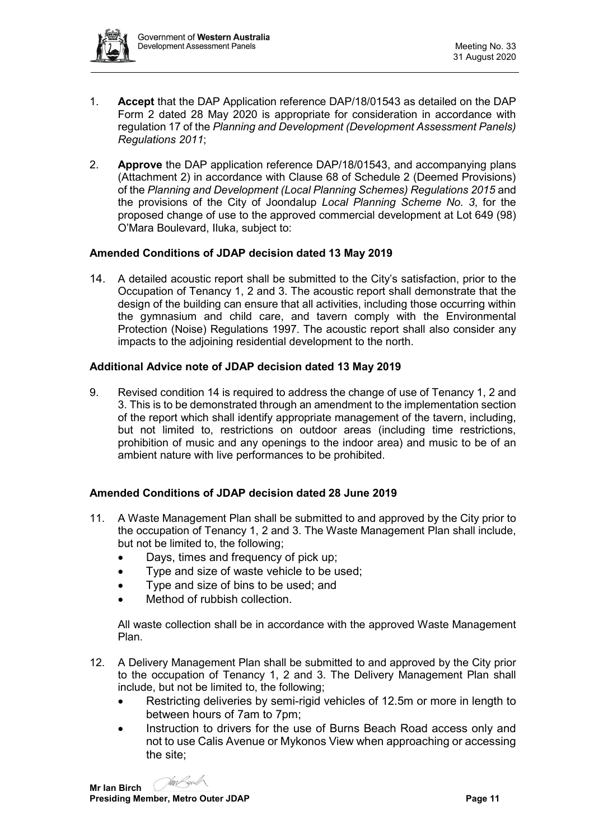

- 1. **Accept** that the DAP Application reference DAP/18/01543 as detailed on the DAP Form 2 dated 28 May 2020 is appropriate for consideration in accordance with regulation 17 of the *Planning and Development (Development Assessment Panels) Regulations 2011*;
- 2. **Approve** the DAP application reference DAP/18/01543, and accompanying plans (Attachment 2) in accordance with Clause 68 of Schedule 2 (Deemed Provisions) of the *Planning and Development (Local Planning Schemes) Regulations 2015* and the provisions of the City of Joondalup *Local Planning Scheme No. 3*, for the proposed change of use to the approved commercial development at Lot 649 (98) O'Mara Boulevard, Iluka, subject to:

## **Amended Conditions of JDAP decision dated 13 May 2019**

14. A detailed acoustic report shall be submitted to the City's satisfaction, prior to the Occupation of Tenancy 1, 2 and 3. The acoustic report shall demonstrate that the design of the building can ensure that all activities, including those occurring within the gymnasium and child care, and tavern comply with the Environmental Protection (Noise) Regulations 1997. The acoustic report shall also consider any impacts to the adjoining residential development to the north.

## **Additional Advice note of JDAP decision dated 13 May 2019**

9. Revised condition 14 is required to address the change of use of Tenancy 1, 2 and 3. This is to be demonstrated through an amendment to the implementation section of the report which shall identify appropriate management of the tavern, including, but not limited to, restrictions on outdoor areas (including time restrictions, prohibition of music and any openings to the indoor area) and music to be of an ambient nature with live performances to be prohibited.

## **Amended Conditions of JDAP decision dated 28 June 2019**

- 11. A Waste Management Plan shall be submitted to and approved by the City prior to the occupation of Tenancy 1, 2 and 3. The Waste Management Plan shall include, but not be limited to, the following;
	- Days, times and frequency of pick up;
	- Type and size of waste vehicle to be used;
	- Type and size of bins to be used; and
	- Method of rubbish collection

All waste collection shall be in accordance with the approved Waste Management Plan.

- 12. A Delivery Management Plan shall be submitted to and approved by the City prior to the occupation of Tenancy 1, 2 and 3. The Delivery Management Plan shall include, but not be limited to, the following;
	- Restricting deliveries by semi-rigid vehicles of 12.5m or more in length to between hours of 7am to 7pm;
	- Instruction to drivers for the use of Burns Beach Road access only and not to use Calis Avenue or Mykonos View when approaching or accessing the site;

Jan Legid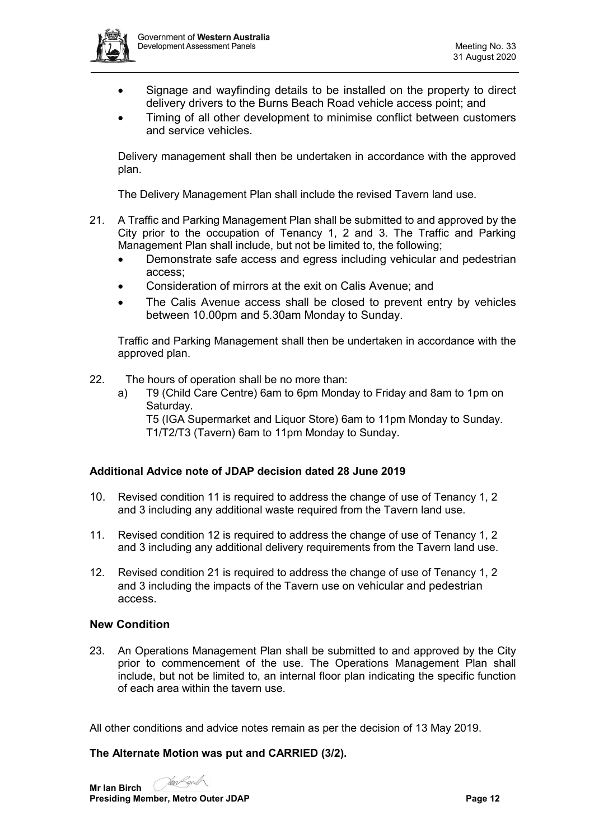

- Signage and wayfinding details to be installed on the property to direct delivery drivers to the Burns Beach Road vehicle access point; and
- Timing of all other development to minimise conflict between customers and service vehicles.

Delivery management shall then be undertaken in accordance with the approved plan.

The Delivery Management Plan shall include the revised Tavern land use.

- 21. A Traffic and Parking Management Plan shall be submitted to and approved by the City prior to the occupation of Tenancy 1, 2 and 3. The Traffic and Parking Management Plan shall include, but not be limited to, the following;
	- Demonstrate safe access and egress including vehicular and pedestrian access;
	- Consideration of mirrors at the exit on Calis Avenue; and
	- The Calis Avenue access shall be closed to prevent entry by vehicles between 10.00pm and 5.30am Monday to Sunday.

Traffic and Parking Management shall then be undertaken in accordance with the approved plan.

- 22. The hours of operation shall be no more than:
	- a) T9 (Child Care Centre) 6am to 6pm Monday to Friday and 8am to 1pm on Saturday.

T5 (IGA Supermarket and Liquor Store) 6am to 11pm Monday to Sunday. T1/T2/T3 (Tavern) 6am to 11pm Monday to Sunday.

## **Additional Advice note of JDAP decision dated 28 June 2019**

- 10. Revised condition 11 is required to address the change of use of Tenancy 1, 2 and 3 including any additional waste required from the Tavern land use.
- 11. Revised condition 12 is required to address the change of use of Tenancy 1, 2 and 3 including any additional delivery requirements from the Tavern land use.
- 12. Revised condition 21 is required to address the change of use of Tenancy 1, 2 and 3 including the impacts of the Tavern use on vehicular and pedestrian access.

#### **New Condition**

23. An Operations Management Plan shall be submitted to and approved by the City prior to commencement of the use. The Operations Management Plan shall include, but not be limited to, an internal floor plan indicating the specific function of each area within the tavern use.

All other conditions and advice notes remain as per the decision of 13 May 2019.

#### **The Alternate Motion was put and CARRIED (3/2).**